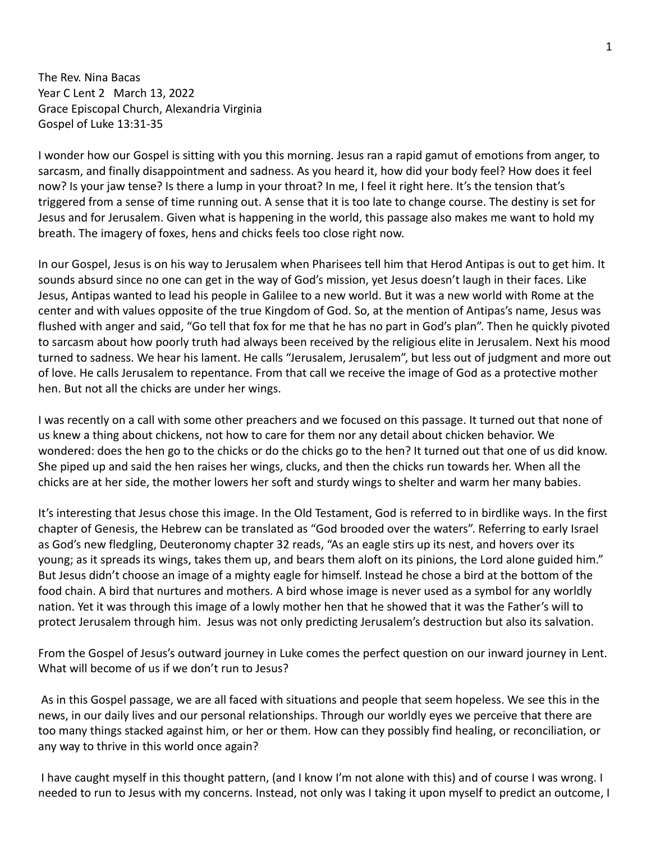The Rev. Nina Bacas Year C Lent 2 March 13, 2022 Grace Episcopal Church, Alexandria Virginia Gospel of Luke 13:31-35

I wonder how our Gospel is sitting with you this morning. Jesus ran a rapid gamut of emotions from anger, to sarcasm, and finally disappointment and sadness. As you heard it, how did your body feel? How does it feel now? Is your jaw tense? Is there a lump in your throat? In me, I feel it right here. It's the tension that's triggered from a sense of time running out. A sense that it is too late to change course. The destiny is set for Jesus and for Jerusalem. Given what is happening in the world, this passage also makes me want to hold my breath. The imagery of foxes, hens and chicks feels too close right now.

In our Gospel, Jesus is on his way to Jerusalem when Pharisees tell him that Herod Antipas is out to get him. It sounds absurd since no one can get in the way of God's mission, yet Jesus doesn't laugh in their faces. Like Jesus, Antipas wanted to lead his people in Galilee to a new world. But it was a new world with Rome at the center and with values opposite of the true Kingdom of God. So, at the mention of Antipas's name, Jesus was flushed with anger and said, "Go tell that fox for me that he has no part in God's plan". Then he quickly pivoted to sarcasm about how poorly truth had always been received by the religious elite in Jerusalem. Next his mood turned to sadness. We hear his lament. He calls "Jerusalem, Jerusalem", but less out of judgment and more out of love. He calls Jerusalem to repentance. From that call we receive the image of God as a protective mother hen. But not all the chicks are under her wings.

I was recently on a call with some other preachers and we focused on this passage. It turned out that none of us knew a thing about chickens, not how to care for them nor any detail about chicken behavior. We wondered: does the hen go to the chicks or do the chicks go to the hen? It turned out that one of us did know. She piped up and said the hen raises her wings, clucks, and then the chicks run towards her. When all the chicks are at her side, the mother lowers her soft and sturdy wings to shelter and warm her many babies.

It's interesting that Jesus chose this image. In the Old Testament, God is referred to in birdlike ways. In the first chapter of Genesis, the Hebrew can be translated as "God brooded over the waters". Referring to early Israel as God's new fledgling, Deuteronomy chapter 32 reads, "As an eagle stirs up its nest, and hovers over its young; as it spreads its wings, takes them up, and bears them aloft on its pinions, the Lord alone guided him." But Jesus didn't choose an image of a mighty eagle for himself. Instead he chose a bird at the bottom of the food chain. A bird that nurtures and mothers. A bird whose image is never used as a symbol for any worldly nation. Yet it was through this image of a lowly mother hen that he showed that it was the Father's will to protect Jerusalem through him. Jesus was not only predicting Jerusalem's destruction but also its salvation.

From the Gospel of Jesus's outward journey in Luke comes the perfect question on our inward journey in Lent. What will become of us if we don't run to Jesus?

As in this Gospel passage, we are all faced with situations and people that seem hopeless. We see this in the news, in our daily lives and our personal relationships. Through our worldly eyes we perceive that there are too many things stacked against him, or her or them. How can they possibly find healing, or reconciliation, or any way to thrive in this world once again?

I have caught myself in this thought pattern, (and I know I'm not alone with this) and of course I was wrong. I needed to run to Jesus with my concerns. Instead, not only was I taking it upon myself to predict an outcome, I